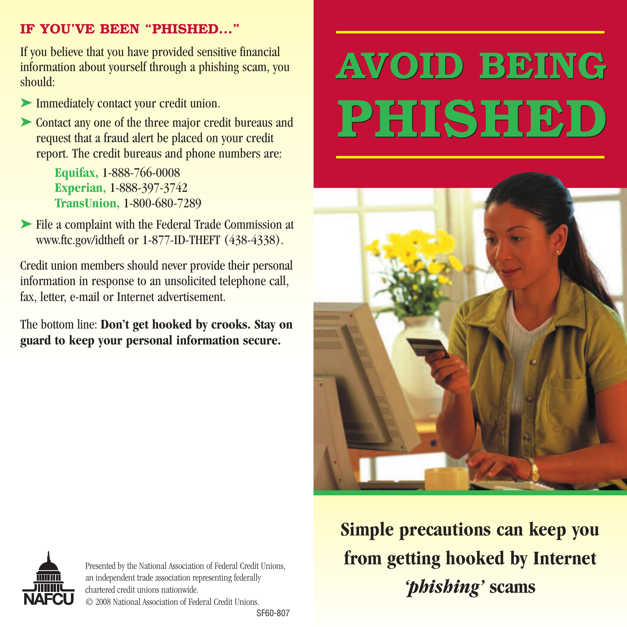#### **IF YOU'VE BEEN "PHISHED..."**

If you believe that you have provided sensitive financial information about yourself through a phishing scam, you should:

- ➤ Immediately contact your credit union.
- ► Contact any one of the three major credit bureaus and request that a fraud alert be placed on your credit report. The credit bureaus and phone numbers are:

**Equifax,** 1-888-766-0008 **Experian,** 1-888-397-3742 **TransUnion,** 1-800-680-7289

➤ File a complaint with the Federal Trade Commission at www.ftc.gov/idtheft or 1-877-ID-THEFT (438-4338).

Credit union members should never provide their personal information in response to an unsolicited telephone call, fax, letter, e-mail or Internet advertisement.

The bottom line: **Don't get hooked by crooks. Stay on guard to keep your personal information secure.**

# **AVOID BEING AVOID BEING PHISHED PHISHED**







Presented by the National Association of Federal Credit Unions, an independent trade association representing federally chartered credit unions nationwide. © 2008 National Association of Federal Credit Unions.